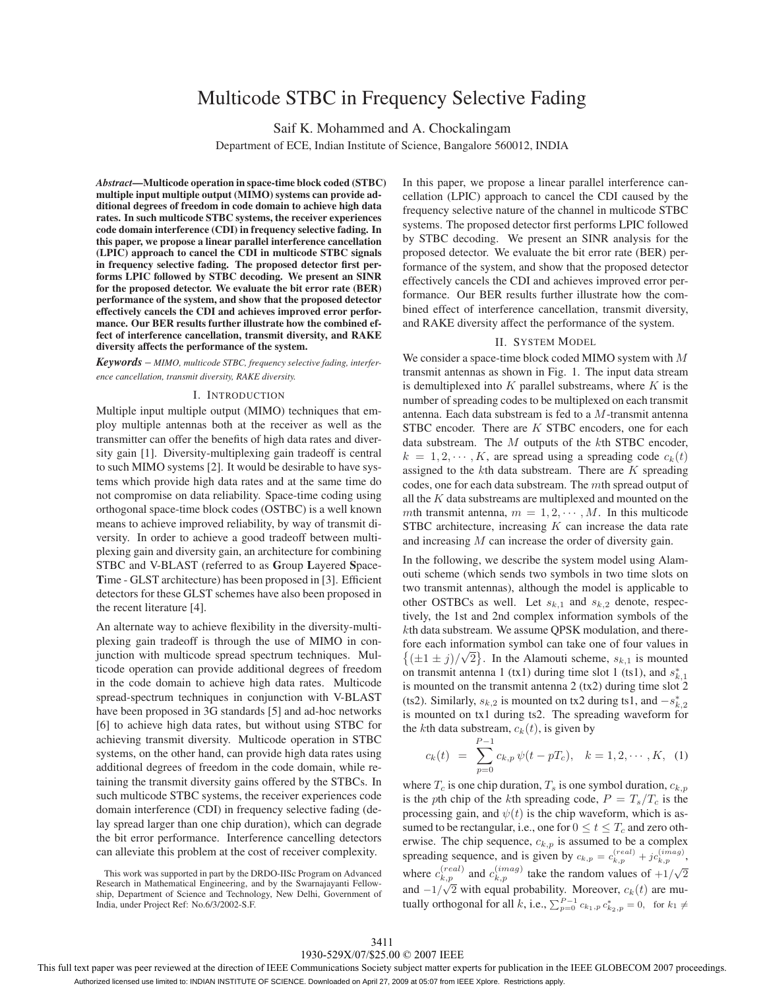# Multicode STBC in Frequency Selective Fading

Saif K. Mohammed and A. Chockalingam

Department of ECE, Indian Institute of Science, Bangalore 560012, INDIA

*Abstract***—Multicode operation in space-time block coded (STBC) multiple input multiple output (MIMO) systems can provide additional degrees of freedom in code domain to achieve high data rates. In such multicode STBC systems, the receiver experiences code domain interference (CDI) in frequency selective fading. In this paper, we propose a linear parallel interference cancellation (LPIC) approach to cancel the CDI in multicode STBC signals in frequency selective fading. The proposed detector first performs LPIC followed by STBC decoding. We present an SINR for the proposed detector. We evaluate the bit error rate (BER) performance of the system, and show that the proposed detector effectively cancels the CDI and achieves improved error performance. Our BER results further illustrate how the combined effect of interference cancellation, transmit diversity, and RAKE diversity affects the performance of the system.**

*Keywords* – *MIMO, multicode STBC, frequency selective fading, interference cancellation, transmit diversity, RAKE diversity.*

#### I. INTRODUCTION

Multiple input multiple output (MIMO) techniques that employ multiple antennas both at the receiver as well as the transmitter can offer the benefits of high data rates and diversity gain [1]. Diversity-multiplexing gain tradeoff is central to such MIMO systems [2]. It would be desirable to have systems which provide high data rates and at the same time do not compromise on data reliability. Space-time coding using orthogonal space-time block codes (OSTBC) is a well known means to achieve improved reliability, by way of transmit diversity. In order to achieve a good tradeoff between multiplexing gain and diversity gain, an architecture for combining STBC and V-BLAST (referred to as **G**roup **L**ayered **S**pace-**T**ime - GLST architecture) has been proposed in [3]. Efficient detectors for these GLST schemes have also been proposed in the recent literature [4].

An alternate way to achieve flexibility in the diversity-multiplexing gain tradeoff is through the use of MIMO in conjunction with multicode spread spectrum techniques. Multicode operation can provide additional degrees of freedom in the code domain to achieve high data rates. Multicode spread-spectrum techniques in conjunction with V-BLAST have been proposed in 3G standards [5] and ad-hoc networks [6] to achieve high data rates, but without using STBC for achieving transmit diversity. Multicode operation in STBC systems, on the other hand, can provide high data rates using additional degrees of freedom in the code domain, while retaining the transmit diversity gains offered by the STBCs. In such multicode STBC systems, the receiver experiences code domain interference (CDI) in frequency selective fading (delay spread larger than one chip duration), which can degrade the bit error performance. Interference cancelling detectors can alleviate this problem at the cost of receiver complexity.

In this paper, we propose a linear parallel interference cancellation (LPIC) approach to cancel the CDI caused by the frequency selective nature of the channel in multicode STBC systems. The proposed detector first performs LPIC followed by STBC decoding. We present an SINR analysis for the proposed detector. We evaluate the bit error rate (BER) performance of the system, and show that the proposed detector effectively cancels the CDI and achieves improved error performance. Our BER results further illustrate how the combined effect of interference cancellation, transmit diversity, and RAKE diversity affect the performance of the system.

#### II. SYSTEM MODEL

We consider a space-time block coded MIMO system with *M* transmit antennas as shown in Fig. 1. The input data stream is demultiplexed into *K* parallel substreams, where *K* is the number of spreading codes to be multiplexed on each transmit antenna. Each data substream is fed to a *M*-transmit antenna STBC encoder. There are *K* STBC encoders, one for each data substream. The *M* outputs of the *k*th STBC encoder,  $k = 1, 2, \dots, K$ , are spread using a spreading code  $c_k(t)$ assigned to the *k*th data substream. There are *K* spreading codes, one for each data substream. The *m*th spread output of all the *K* data substreams are multiplexed and mounted on the *m*th transmit antenna,  $m = 1, 2, \cdots, M$ . In this multicode STBC architecture, increasing *K* can increase the data rate and increasing *M* can increase the order of diversity gain.

In the following, we describe the system model using Alamouti scheme (which sends two symbols in two time slots on two transmit antennas), although the model is applicable to other OSTBCs as well. Let  $s_{k,1}$  and  $s_{k,2}$  denote, respectively, the 1st and 2nd complex information symbols of the *k*th data substream. We assume QPSK modulation, and therefore each information symbol can take one of four values in  $\{(±1 ± j)/\sqrt{2}\}$ . In the Alamouti scheme,  $s_{k,1}$  is mounted<br>( $\pi$  transmit scheme,  $s_{k,1}$  is mounted on transmit antenna 1 (tx1) during time slot 1 (ts1), and  $s_{k,1}^*$ is mounted on the transmit antenna 2 (tx2) during time slot 2 (ts2). Similarly,  $s_{k,2}$  is mounted on tx2 during ts1, and  $-s_{k,2}^*$ (is 2). Summary,  $s_{k,2}$  is mounted on tx2 during ts1, and  $-s_{k,2}$ <br>is mounted on tx1 during ts2. The spreading waveform for the *k*th data substream,  $c_k(t)$ , is given by

$$
c_k(t) = \sum_{p=0}^{P-1} c_{k,p} \psi(t - pT_c), \quad k = 1, 2, \cdots, K, \tag{1}
$$

where  $T_c$  is one chip duration,  $T_s$  is one symbol duration,  $c_{k,p}$ <br>is the other of the lith graveding and  $R = T_c/T$  is the is the *p*th chip of the *k*th spreading code,  $P = T_s/T_c$  is the processing gain, and  $\psi(t)$  is the chip waveform, which is assumed to be rectangular, i.e., one for  $0 \le t \le T_c$  and zero otherwise. The chip sequence,  $c_{k,p}$  is assumed to be a complex spreading sequence, and is given by  $c_{k,p} = c_{k,p}^{(real)} + j c_{k,p}^{(imag)}$ where  $c_{k,p}^{(real)}$  and  $c_{k,p}^{(imag)}$  take the random values of  $+1/\sqrt{2}$ <br>and  $-1/\sqrt{2}$  with equal probability. Mereover, e. (4) are my and  $-1/\sqrt{2}$  with equal probability. Moreover,  $c_k(t)$  are mutually orthogonal for all *k*, i.e.,  $\sum_{p=0}^{P-1} c_{k_1,p} c^*_{k_2,p} = 0$ , for  $k_1 \neq$ 

## 1930-529X/07/\$25.00 © 2007 IEEE 3411

This work was supported in part by the DRDO-IISc Program on Advanced Research in Mathematical Engineering, and by the Swarnajayanti Fellowship, Department of Science and Technology, New Delhi, Government of India, under Project Ref: No.6/3/2002-S.F.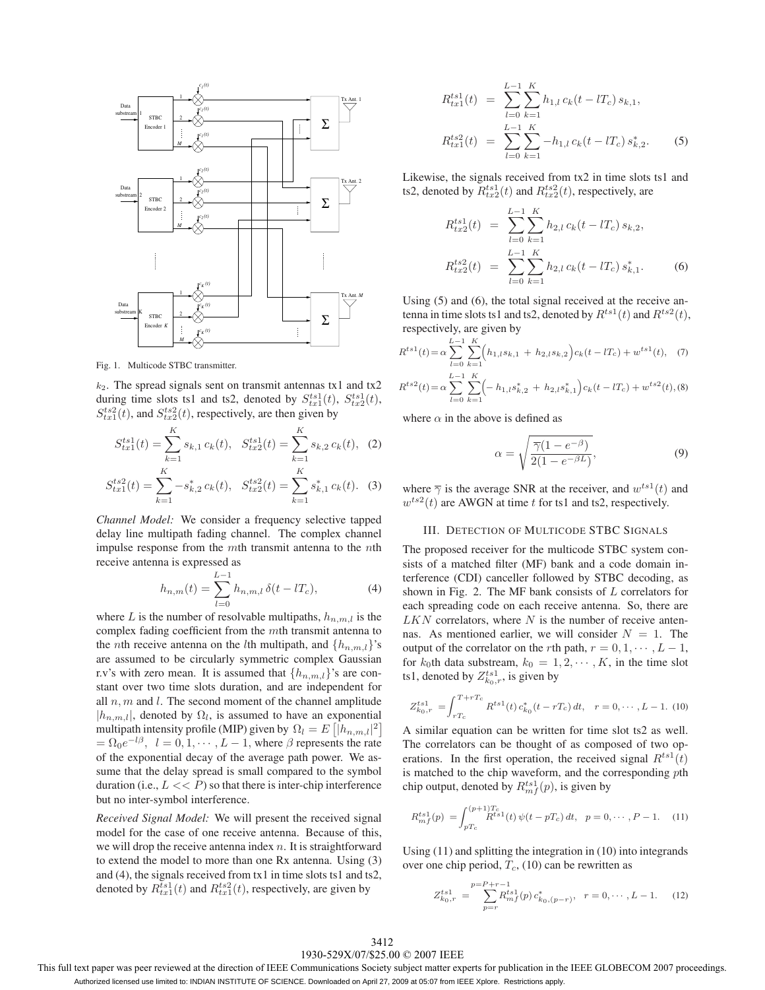

Fig. 1. Multicode STBC transmitter.

*k*2. The spread signals sent on transmit antennas tx1 and tx2 during time slots ts1 and ts2, denoted by  $S_{tx1}^{ts1}(t)$ ,  $S_{tx2}^{ts1}(t)$ ,  $S_{tx1}^{ts2}(t)$ , and  $S_{tx2}^{ts2}(t)$ , respectively, are then given by

$$
S_{tx1}^{ts1}(t) = \sum_{k=1}^{K} s_{k,1} c_k(t), \quad S_{tx2}^{ts1}(t) = \sum_{k=1}^{K} s_{k,2} c_k(t), \quad (2)
$$

$$
S_{tx1}^{ts2}(t) = \sum_{k=1}^{K} -s_{k,2}^* c_k(t), \quad S_{tx2}^{ts2}(t) = \sum_{k=1}^{K} s_{k,1}^* c_k(t). \quad (3)
$$

*Channel Model:* We consider a frequency selective tapped delay line multipath fading channel. The complex channel impulse response from the *m*th transmit antenna to the *n*th receive antenna is expressed as

$$
h_{n,m}(t) = \sum_{l=0}^{L-1} h_{n,m,l} \, \delta(t - lT_c),\tag{4}
$$

where *L* is the number of resolvable multipaths,  $h_{n,m,l}$  is the complex follow coefficient from the onth transmit entange to complex fading coefficient from the *m*th transmit antenna to the *n*th receive antenna on the *l*th multipath, and  $\{h_{n,m,l}\}$ 's are assumed to be circularly symmetric complex Gaussian r.v's with zero mean. It is assumed that  $\{h_{n,m,l}\}$ 's are constant over two time slots duration, and are independent for all *n, m* and *l*. The second moment of the channel amplitude  $|h_{n,m,l}|$ , denoted by  $\Omega_l$ , is assumed to have an exponential multipath intensity profile (MIP) given by  $\Omega_l = E\left[ |h_{n,m,l}|^2 \right]$  $= \Omega_0 e^{-l\beta}, \quad l = 0, 1, \cdots, L-1$ , where  $\beta$  represents the rate of the exponential decay of the average path power. We assume that the delay spread is small compared to the symbol duration (i.e.,  $L \ll P$ ) so that there is inter-chip interference but no inter-symbol interference.

*Received Signal Model:* We will present the received signal model for the case of one receive antenna. Because of this, we will drop the receive antenna index *n*. It is straightforward to extend the model to more than one Rx antenna. Using (3) and (4), the signals received from tx1 in time slots ts1 and ts2, denoted by  $R_{tx1}^{ts1}(t)$  and  $R_{tx1}^{ts2}(t)$ , respectively, are given by

$$
R_{tx1}^{ts1}(t) = \sum_{l=0}^{L-1} \sum_{k=1}^{K} h_{1,l} c_k(t - lT_c) s_{k,1},
$$
  
\n
$$
R_{tx1}^{ts2}(t) = \sum_{l=0}^{L-1} \sum_{k=1}^{K} -h_{1,l} c_k(t - lT_c) s_{k,2}^*.
$$
 (5)

Likewise, the signals received from tx2 in time slots ts1 and ts2, denoted by  $R_{tx2}^{ts1}(t)$  and  $R_{tx2}^{ts2}(t)$ , respectively, are

$$
R_{tx2}^{ts1}(t) = \sum_{l=0}^{L-1} \sum_{k=1}^{K} h_{2,l} c_k(t - lT_c) s_{k,2},
$$
  
\n
$$
R_{tx2}^{ts2}(t) = \sum_{l=0}^{L-1} \sum_{k=1}^{K} h_{2,l} c_k(t - lT_c) s_{k,1}^*.
$$
 (6)

Using (5) and (6), the total signal received at the receive antenna in time slots ts1 and ts2, denoted by  $R^{ts1}(t)$  and  $R^{ts2}(t)$ , respectively, are given by

$$
R^{ts1}(t) = \alpha \sum_{l=0}^{L-1} \sum_{k=1}^{K} \left( h_{1,l} s_{k,1} + h_{2,l} s_{k,2} \right) c_k(t - lT_c) + w^{ts1}(t), \quad (7)
$$
  

$$
R^{ts2}(t) = \alpha \sum_{l=0}^{L-1} \sum_{k=1}^{K} \left( -h_{1,l} s_{k,2}^* + h_{2,l} s_{k,1}^* \right) c_k(t - lT_c) + w^{ts2}(t), \quad (8)
$$

where  $\alpha$  in the above is defined as

$$
\alpha = \sqrt{\frac{\overline{\gamma}(1 - e^{-\beta})}{2(1 - e^{-\beta L})}},\tag{9}
$$

where  $\overline{\gamma}$  is the average SNR at the receiver, and  $w^{ts1}(t)$  and  $w^{ts2}(t)$  are AWGN at time *t* for ts1 and ts2, respectively.

#### III. DETECTION OF MULTICODE STBC SIGNALS

The proposed receiver for the multicode STBC system consists of a matched filter (MF) bank and a code domain interference (CDI) canceller followed by STBC decoding, as shown in Fig. 2. The MF bank consists of *L* correlators for each spreading code on each receive antenna. So, there are *LKN* correlators, where *N* is the number of receive antennas. As mentioned earlier, we will consider  $N = 1$ . The output of the correlator on the *r*th path,  $r = 0, 1, \dots, L - 1$ , for  $k_0$ th data substream,  $k_0 = 1, 2, \dots, K$ , in the time slot ts1, denoted by  $Z_{k_0,r}^{ts1}$ , is given by

$$
Z_{k_0,r}^{ts1} = \int_{rT_c}^{T+rT_c} R^{ts1}(t) c_{k_0}^*(t - rT_c) dt, \quad r = 0, \cdots, L - 1.
$$
 (10)

A similar equation can be written for time slot ts2 as well. The correlators can be thought of as composed of two operations. In the first operation, the received signal  $R^{ts1}(t)$ is matched to the chip waveform, and the corresponding *p*th chip output, denoted by  $R_{mf}^{ts1}(p)$ , is given by

$$
R_{mf}^{ts1}(p) = \int_{pT_c}^{(p+1)T_c} R^{ts1}(t) \psi(t - pT_c) dt, \quad p = 0, \cdots, P - 1.
$$
 (11)

Using (11) and splitting the integration in (10) into integrands over one chip period,  $T_c$ , (10) can be rewritten as

$$
Z_{k_0,r}^{t s 1} = \sum_{p=r}^{p+1} R_{mf}^{t s 1}(p) c_{k_0,(p-r)}^*, \quad r = 0, \cdots, L-1.
$$
 (12)

## 3412

#### 1930-529X/07/\$25.00 © 2007 IEEE

This full text paper was peer reviewed at the direction of IEEE Communications Society subject matter experts for publication in the IEEE GLOBECOM 2007 proceedings. Authorized licensed use limited to: INDIAN INSTITUTE OF SCIENCE. Downloaded on April 27, 2009 at 05:07 from IEEE Xplore. Restrictions apply.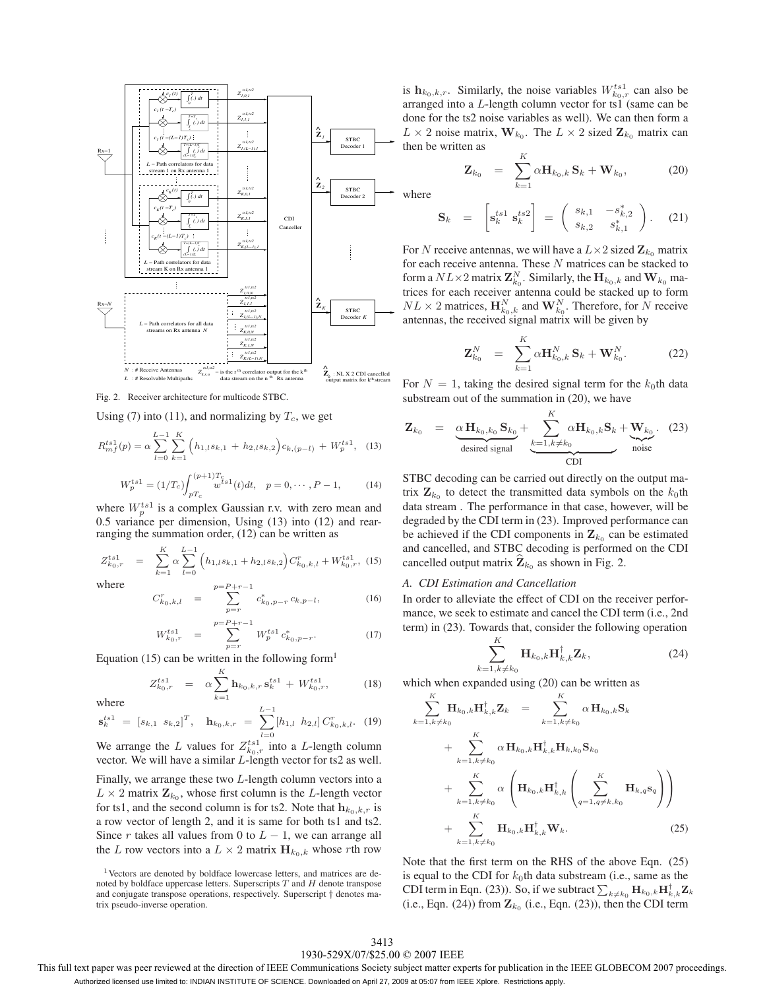

Fig. 2. Receiver architecture for multicode STBC.

Using (7) into (11), and normalizing by  $T_c$ , we get

$$
R_{mf}^{ts1}(p) = \alpha \sum_{l=0}^{L-1} \sum_{k=1}^{K} \left( h_{1,l} s_{k,1} + h_{2,l} s_{k,2} \right) c_{k,(p-l)} + W_p^{ts1}, \quad (13)
$$

$$
W_p^{ts1} = (1/T_c) \int_{pT_c}^{(p+1)T_{gs1}^c} w_{s1}^{ts1}(t) dt, \quad p = 0, \cdots, P-1, \quad (14)
$$

where  $W_p^{ts1}$  is a complex Gaussian r.v. with zero mean and<br>0.5 variance per dimension Using (13) into (12) and rear-0.5 variance per dimension, Using (13) into (12) and rearranging the summation order, (12) can be written as

$$
Z_{k_0,r}^{t s 1} = \sum_{k=1}^{K} \alpha \sum_{l=0}^{L-1} \left( h_{1,l} s_{k,1} + h_{2,l} s_{k,2} \right) C_{k_0,k,l}^r + W_{k_0,r}^{t s 1}, \tag{15}
$$

where

$$
C_{k_0,k,l}^r = \sum_{p=r}^{p=P+r-1} c_{k_0,p-r}^* c_{k,p-l}, \qquad (16)
$$

$$
W_{k_0,r}^{t s 1} = \sum_{p=r}^{p=P+r-1} W_p^{t s 1} c_{k_0,p-r}^*.
$$
 (17)

 $p=r$ <br>Equation (15) can be written in the following form<sup>1</sup>

$$
Z_{k_0,r}^{ts1} = \alpha \sum_{k=1}^{K} \mathbf{h}_{k_0,k,r} \mathbf{s}_k^{ts1} + W_{k_0,r}^{ts1}, \tag{18}
$$

where

$$
\mathbf{s}_{k}^{ts1} = [s_{k,1} \ s_{k,2}]^{T}, \quad \mathbf{h}_{k_{0},k,r} = \sum_{l=0}^{L-1} [h_{1,l} \ h_{2,l}] \ C_{k_{0},k,l}^{r}.
$$
 (19)

We arrange the *L* values for  $Z_{k_0,r}^{t_0}$  into a *L*-length column<br>vector. We will have a similar *L*-length vector for to 2 as well vector. We will have a similar *L*-length vector for ts2 as well.

Finally, we arrange these two *L*-length column vectors into a  $L \times 2$  matrix  $\mathbf{Z}_{k_0}$ , whose first column is the *L*-length vector for ts1, and the second column is for ts2. Note that  $h_{k_0,k,r}$  is a row vector of length 2, and it is same for both ts1 and ts2. Since *r* takes all values from 0 to  $L - 1$ , we can arrange all the *L* row vectors into a  $L \times 2$  matrix  $\mathbf{H}_{k_0,k}$  whose *r*th row is  $h_{k_0,k,r}$ . Similarly, the noise variables  $W_{k_0,r}^{ts1}$  can also be arranged into a *L*-length column vector for ts1 (same can be done for the ts2 noise variables as well). We can then form a  $L \times 2$  noise matrix,  $\mathbf{W}_{k_0}$ . The  $L \times 2$  sized  $\mathbf{Z}_{k_0}$  matrix can then be written as

$$
\mathbf{Z}_{k_0} = \sum_{k=1}^K \alpha \mathbf{H}_{k_0,k} \, \mathbf{S}_k + \mathbf{W}_{k_0}, \tag{20}
$$

where

$$
\mathbf{S}_{k} = \begin{bmatrix} \mathbf{s}_{k}^{t s 1} & \mathbf{s}_{k}^{t s 2} \\ \mathbf{s}_{k}^{t s 1} & \mathbf{s}_{k,1}^{t s 2} \end{bmatrix} = \begin{pmatrix} s_{k,1} & -s_{k,2}^{*} \\ s_{k,2} & s_{k,1}^{*} \end{pmatrix}.
$$
 (21)

For *N* receive antennas, we will have a  $L \times 2$  sized  $\mathbf{Z}_{k_0}$  matrix for each receive antenna. These *N* matrices can be stacked to form a  $NL \times 2$  matrix  $\mathbf{Z}_{k_0}^N$ . Similarly, the  $\mathbf{H}_{k_0,k}$  and  $\mathbf{W}_{k_0}$  ma-<br>trices for each receiver antenna could be stacked up to form trices for each receiver antenna could be stacked up to form  $NL \times 2$  matrices,  $\mathbf{H}_{k_0,k}^N$  and  $\mathbf{W}_{k_0}^N$ . Therefore, for *N* receive antennas, the received signal matrix will be given by

$$
\mathbf{Z}_{k_0}^N = \sum_{k=1}^K \alpha \mathbf{H}_{k_0,k}^N \mathbf{S}_k + \mathbf{W}_{k_0}^N.
$$
 (22)

For  $N = 1$ , taking the desired signal term for the  $k_0$ th data substream out of the summation in (20), we have

$$
\mathbf{Z}_{k_0} = \underbrace{\alpha \mathbf{H}_{k_0, k_0} \mathbf{S}_{k_0}}_{\text{desired signal}} + \underbrace{\sum_{k=1, k \neq k_0}^{K} \alpha \mathbf{H}_{k_0, k} \mathbf{S}_{k}}_{\text{CDI}} + \underbrace{\mathbf{W}_{k_0}}_{\text{noise}}.
$$
 (23)

STBC decoding can be carried out directly on the output matrix  $\mathbf{Z}_{k_0}$  to detect the transmitted data symbols on the  $k_0$ th data stream . The performance in that case, however, will be degraded by the CDI term in (23). Improved performance can be achieved if the CDI components in  $\mathbf{Z}_{k_0}$  can be estimated and cancelled, and STBC decoding is performed on the CDI cancelled output matrix  $\hat{\mathbf{Z}}_{k_0}$  as shown in Fig. 2.

#### *A. CDI Estimation and Cancellation*

In order to alleviate the effect of CDI on the receiver performance, we seek to estimate and cancel the CDI term (i.e., 2nd term) in (23). Towards that, consider the following operation

$$
\sum_{1,k\neq k_0}^{\Lambda} \mathbf{H}_{k_0,k} \mathbf{H}_{k,k}^{\dagger} \mathbf{Z}_k, \tag{24}
$$

 $k=1, k\neq k_0$ <br>which when expanded using (20) can be written as

$$
\sum_{k=1, k \neq k_0}^{K} \mathbf{H}_{k_0,k} \mathbf{H}_{k,k}^{\dagger} \mathbf{Z}_{k} = \sum_{k=1, k \neq k_0}^{K} \alpha \mathbf{H}_{k_0,k} \mathbf{S}_{k} + \sum_{k=1, k \neq k_0}^{K} \alpha \mathbf{H}_{k_0,k} \mathbf{H}_{k,k}^{\dagger} \mathbf{H}_{k,k_0} \mathbf{S}_{k_0} + \sum_{k=1, k \neq k_0}^{K} \alpha \left( \mathbf{H}_{k_0,k} \mathbf{H}_{k,k}^{\dagger} \left( \sum_{q=1, q \neq k, k_0}^{K} \mathbf{H}_{k,q} \mathbf{s}_{q} \right) \right) + \sum_{k=1, k \neq k_0}^{K} \mathbf{H}_{k_0,k} \mathbf{H}_{k,k}^{\dagger} \mathbf{W}_{k}.
$$
\n(25)

Note that the first term on the RHS of the above Eqn. (25) is equal to the CDI for  $k_0$ th data substream (i.e., same as the CDI term in Eqn. (23)). So, if we subtract  $\sum_{k \neq k_0} \mathbf{H}_{k_0,k} \mathbf{H}_{k,k}^{\dagger} \mathbf{Z}_k$ <br>(i.e. For (24)) from **Z** (i.e. For (23)), then the CDI term (i.e., Eqn. (24)) from  $\mathbf{Z}_{k_0}$  (i.e., Eqn. (23)), then the CDI term

## 1930-529X/07/\$25.00 © 2007 IEEE 3413

 $\mathbf{L}$ 

<sup>&</sup>lt;sup>1</sup>Vectors are denoted by boldface lowercase letters, and matrices are denoted by boldface uppercase letters. Superscripts *T* and *H* denote transpose and conjugate transpose operations, respectively. Superscript † denotes matrix pseudo-inverse operation.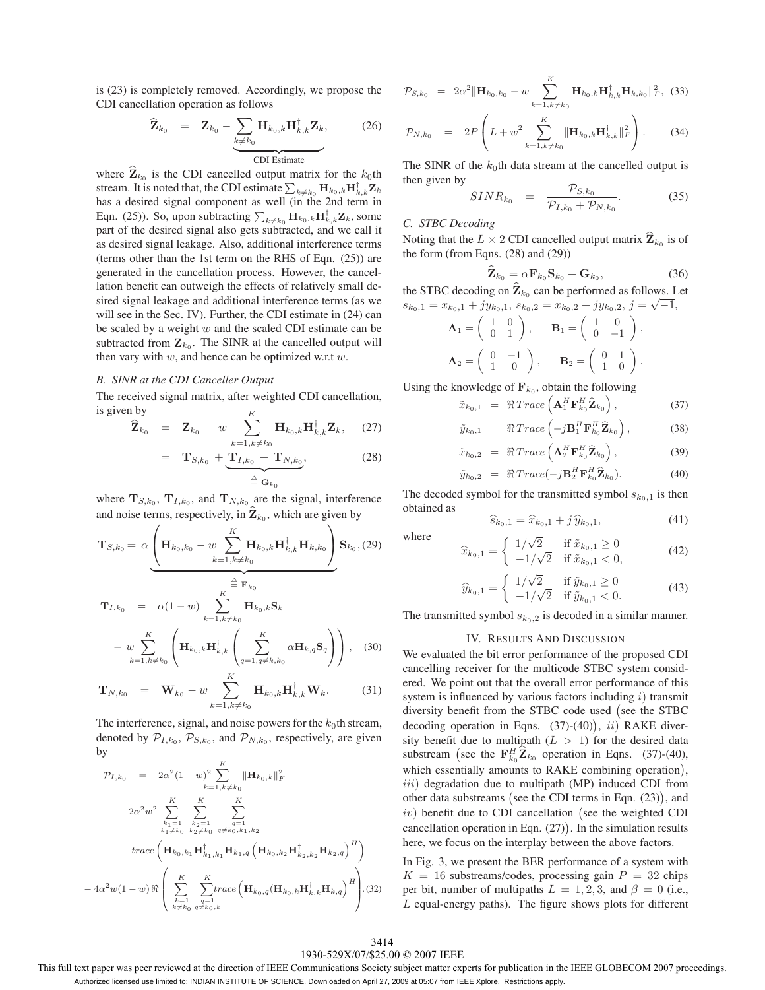is (23) is completely removed. Accordingly, we propose the CDI cancellation operation as follows

$$
\widehat{\mathbf{Z}}_{k_0} = \mathbf{Z}_{k_0} - \underbrace{\sum_{k \neq k_0} \mathbf{H}_{k_0,k} \mathbf{H}_{k,k}^{\dagger} \mathbf{Z}_k}_{\text{CDI Estimate}},
$$
\n(26)

where  $\mathbf{Z}_{k_0}$  is the CDI cancelled output matrix for the  $k_0$ th stream. It is noted that, the CDI estimate  $\sum_{k \neq k_0} \mathbf{H}_{k_0,k} \mathbf{H}_{k,k}^{\dagger} \mathbf{Z}_k$ has a desired signal component as well (in the 2nd term in Eqn. (25)). So, upon subtracting  $\sum_{k \neq k_0} H_{k_0,k} H_{k,k}^{\dagger} Z_k$ , some part of the desired signal also gets subtracted, and we call it as desired signal leakage. Also, additional interference terms (terms other than the 1st term on the RHS of Eqn. (25)) are generated in the cancellation process. However, the cancellation benefit can outweigh the effects of relatively small desired signal leakage and additional interference terms (as we will see in the Sec. IV). Further, the CDI estimate in (24) can be scaled by a weight *w* and the scaled CDI estimate can be subtracted from  $\mathbf{Z}_{k_0}$ . The SINR at the cancelled output will then vary with *w*, and hence can be optimized w.r.t *w*.

#### *B. SINR at the CDI Canceller Output*

The received signal matrix, after weighted CDI cancellation, is given by  $K$ 

$$
\widehat{\mathbf{Z}}_{k_0} = \mathbf{Z}_{k_0} - w \sum_{k=1, k \neq k_0} \mathbf{H}_{k_0,k} \mathbf{H}_{k,k}^{\dagger} \mathbf{Z}_k, \quad (27)
$$

$$
= \mathbf{T}_{S,k_0} + \underbrace{\mathbf{T}_{I,k_0} + \mathbf{T}_{N,k_0}}_{\triangleq \mathbf{G}_{k_0}}, \tag{28}
$$

where  $T_{S,k_0}$ ,  $T_{I,k_0}$ , and  $T_{N,k_0}$  are the signal, interference and noise terms, respectively, in  $\widehat{\mathbf{Z}}_{k_0}$ , which are given by

$$
\mathbf{T}_{S,k_0} = \alpha \left( \mathbf{H}_{k_0,k_0} - w \sum_{k=1, k \neq k_0}^{K} \mathbf{H}_{k_0,k} \mathbf{H}_{k,k}^{\dagger} \mathbf{H}_{k,k_0} \right) \mathbf{S}_{k_0}, (29)
$$
  

$$
\mathbf{T}_{I,k_0} = \alpha (1-w) \sum_{k=1, k \neq k_0}^{K} \mathbf{H}_{k_0,k} \mathbf{S}_{k}
$$

$$
- w \sum_{k=1, k \neq k_0}^{K} \left( \mathbf{H}_{k_0, k} \mathbf{H}_{k, k}^{\dagger} \left( \sum_{q=1, q \neq k, k_0}^{K} \alpha \mathbf{H}_{k, q} \mathbf{S}_q \right) \right), \quad (30)
$$

$$
\mathbf{T}_{N,k_0} = \mathbf{W}_{k_0} - w \sum_{k=1, k \neq k_0}^N \mathbf{H}_{k_0,k} \mathbf{H}_{k,k}^\dagger \mathbf{W}_k.
$$
 (31)

The interference, signal, and noise powers for the  $k_0$ th stream, denoted by  $\mathcal{P}_{I,k_0}, \mathcal{P}_{S,k_0}$ , and  $\mathcal{P}_{N,k_0}$ , respectively, are given by

$$
\mathcal{P}_{I,k_0} = 2\alpha^2 (1-w)^2 \sum_{k=1, k \neq k_0}^K \|\mathbf{H}_{k_0,k}\|_F^2
$$
  
+  $2\alpha^2 w^2 \sum_{k_1=1}^K \sum_{k_2=1 \atop k_1 \neq k_0}^K \sum_{k_2 \neq k_0}^K \sum_{q=1 \atop q \neq k_0, k_1, k_2}^K$   
*trace* $\left(\mathbf{H}_{k_0,k_1} \mathbf{H}_{k_1,k_1}^{\dagger} \mathbf{H}_{k_1,q} \left(\mathbf{H}_{k_0,k_2} \mathbf{H}_{k_2,k_2}^{\dagger} \mathbf{H}_{k_2,q}\right)^H\right)$   
-  $4\alpha^2 w (1-w) \Re \left(\sum_{\substack{k=1 \ k \neq k_0}}^K \sum_{\substack{q=1 \text{free} \\\text{state}}}^{K} \left(\mathbf{H}_{k_0,q} (\mathbf{H}_{k_0,k} \mathbf{H}_{k,k}^{\dagger} \mathbf{H}_{k,q})\right)^H\right)$ . (32)

$$
\mathcal{P}_{S,k_0} = 2\alpha^2 \|\mathbf{H}_{k_0,k_0} - w \sum_{k=1,k \neq k_0}^K \mathbf{H}_{k_0,k} \mathbf{H}_{k,k}^\dagger \mathbf{H}_{k,k_0} \|_F^2, \tag{33}
$$

$$
\mathcal{P}_{N,k_0} = 2P\left(L + w^2 \sum_{k=1, k \neq k_0}^K \|\mathbf{H}_{k_0,k} \mathbf{H}_{k,k}^\dagger\|_F^2\right).
$$
 (34)

The SINR of the  $k_0$ th data stream at the cancelled output is then given by

$$
SINR_{k_0} = \frac{\mathcal{V}_{S,k_0}}{\mathcal{P}_{I,k_0} + \mathcal{P}_{N,k_0}}.
$$
 (35)

## *C. STBC Decoding*

Noting that the  $L \times 2$  CDI cancelled output matrix  $\hat{\mathbf{Z}}_{k_0}$  is of the form (from Eqns. (28) and (29))

$$
\mathbf{Z}_{k_0} = \alpha \mathbf{F}_{k_0} \mathbf{S}_{k_0} + \mathbf{G}_{k_0},\tag{36}
$$

the STBC decoding on  $\mathbf{Z}_{k_0}$  can be performed as follows. Let  $s_{k_0,1} = x_{k_0,1} + jy_{k_0,1}, s_{k_0,2} = x_{k_0,2} + jy_{k_0,2}, j = \sqrt{-1},$ 

$$
\mathbf{A}_1 = \begin{pmatrix} 1 & 0 \\ 0 & 1 \end{pmatrix}, \quad \mathbf{B}_1 = \begin{pmatrix} 1 & 0 \\ 0 & -1 \end{pmatrix},
$$

$$
\mathbf{A}_2 = \begin{pmatrix} 0 & -1 \\ 1 & 0 \end{pmatrix}, \quad \mathbf{B}_2 = \begin{pmatrix} 0 & 1 \\ 1 & 0 \end{pmatrix}.
$$

Using the knowledge of  $\mathbf{F}_{k_0}$ , obtain the following

$$
\tilde{x}_{k_0,1} = \Re Trace \left( \mathbf{A}_1^H \mathbf{F}_{k_0}^H \hat{\mathbf{Z}}_{k_0} \right), \tag{37}
$$

$$
\tilde{y}_{k_0,1} = \Re \operatorname{Trace}\left(-j\mathbf{B}_1^H \mathbf{F}_{k_0}^H \hat{\mathbf{Z}}_{k_0}\right), \tag{38}
$$

$$
\tilde{x}_{k_0,2} = \Re \, Trace \left( \mathbf{A}_2^H \mathbf{F}_{k_0}^H \hat{\mathbf{Z}}_{k_0} \right), \tag{39}
$$

$$
\tilde{y}_{k_0,2} = \Re Trace(-j\mathbf{B}_2^H \mathbf{F}_{k_0}^H \mathbf{Z}_{k_0}). \tag{40}
$$

The decoded symbol for the transmitted symbol  $s_{k_0,1}$  is then obtained as obtained as  $\hat{s}_{k_0,1} = \hat{x}_{k_0,1} + j \hat{y}_{k_0,1}$ , (41)

$$
s_{k_0,1} = x_{k_0,1} + j y_{k_0,1}, \tag{41}
$$

where

$$
\widehat{x}_{k_0,1} = \begin{cases} 1/\sqrt{2} & \text{if } \tilde{x}_{k_0,1} \ge 0\\ -1/\sqrt{2} & \text{if } \tilde{x}_{k_0,1} < 0, \end{cases}
$$
(42)

$$
\widehat{y}_{k_0,1} = \begin{cases}\n1/\sqrt{2} & \text{if } \tilde{y}_{k_0,1} \ge 0 \\
-1/\sqrt{2} & \text{if } \tilde{y}_{k_0,1} < 0.\n\end{cases}
$$
\n(43)

The transmitted symbol  $s_{k_0,2}$  is decoded in a similar manner.

### IV. RESULTS AND DISCUSSION

We evaluated the bit error performance of the proposed CDI cancelling receiver for the multicode STBC system considered. We point out that the overall error performance of this system is influenced by various factors including *i*) transmit diversity benefit from the STBC code used (see the STBC decoding operation in Eqns. (37)-(40) , *ii*) RAKE diversity benefit due to multipath  $(L > 1)$  for the desired data substream (see the  $\mathbf{F}_{k_0}^H \hat{\mathbf{Z}}_{k_0}$  operation in Eqns. (37)-(40), which essentially amounts to RAKE combining operation), *iii*) degradation due to multipath (MP) induced CDI from other data substreams (see the CDI terms in Eqn. (23)), and  $iv)$  benefit due to CDI cancellation (see the weighted CDI cancellation operation in Eqn. (27) . In the simulation results here, we focus on the interplay between the above factors.

In Fig. 3, we present the BER performance of a system with  $K = 16$  substreams/codes, processing gain  $P = 32$  chips per bit, number of multipaths  $L = 1, 2, 3$ , and  $\beta = 0$  (i.e., *L* equal-energy paths). The figure shows plots for different

#### 1930-529X/07/\$25.00 © 2007 IEEE 3414